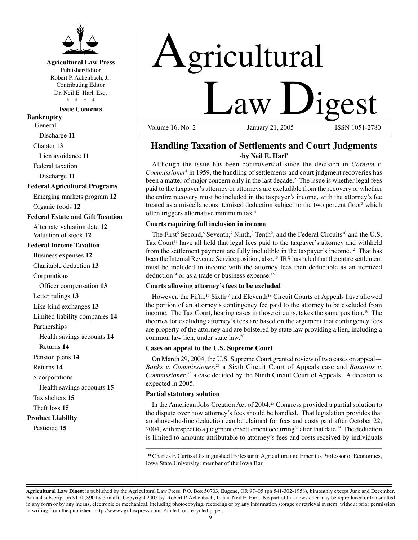

## **Agricultural Law Press**

Publisher/Editor Robert P. Achenbach, Jr. Contributing Editor Dr. Neil E. Harl, Esq. \* \* \* \*

**Issue Contents** 

**Bankruptcy** 

General Discharge **11**

Chapter 13

Lien avoidance **11**

Federal taxation

Discharge **11**

#### **Federal Agricultural Programs**

Emerging markets program **12**  Organic foods **12** 

**Federal Estate and Gift Taxation** 

Alternate valuation date **12**  Valuation of stock **12** 

#### **Federal Income Taxation**

Business expenses **12** 

Charitable deduction **13** 

Corporations

Officer compensation **13** 

Letter rulings **13** 

Like-kind exchanges **13** 

Limited liability companies **14** 

Partnerships

Health savings accounts **14** 

Returns **14**

Pension plans **14**

Returns **14**

S corporations

Health savings accounts **15** 

Tax shelters **15** 

Theft loss **15** 

## **Product Liability**

Pesticide **15** 



Volume  $16$ , No.  $2$ 

# **Handling Taxation of Settlements and Court Judgments -by Neil E. Harl\***

Although the issue has been controversial since the decision in *Cotnam v. Commissioner*1 in 1959, the handling of settlements and court judgment recoveries has been a matter of major concern only in the last decade.<sup>2</sup> The issue is whether legal fees paid to the taxpayer's attorney or attorneys are excludible from the recovery or whether the entire recovery must be included in the taxpayer's income, with the attorney's fee treated as a miscellaneous itemized deduction subject to the two percent floor<sup>3</sup> which often triggers alternative minimum tax.4

#### **Courts requiring full inclusion in income**

The First<sup>5</sup> Second, 6 Seventh,<sup>7</sup> Ninth,  $\frac{8 \text{ Tenth}^9}{8}$ , and the Federal Circuits<sup>10</sup> and the U.S. Tax Court<sup>11</sup> have all held that legal fees paid to the taxpayer's attorney and withheld from the settlement payment are fully includible in the taxpayer's income.12 That has been the Internal Revenue Service position, also.<sup>13</sup> IRS has ruled that the entire settlement must be included in income with the attorney fees then deductible as an itemized deduction<sup>14</sup> or as a trade or business expense.<sup>15</sup>

#### **Courts allowing attorney's fees to be excluded**

However, the Fifth,<sup>16</sup> Sixth<sup>17</sup> and Eleventh<sup>18</sup> Circuit Courts of Appeals have allowed the portion of an attorney's contingency fee paid to the attorney to be excluded from income. The Tax Court, hearing cases in those circuits, takes the same position.<sup>19</sup> The theories for excluding attorney's fees are based on the argument that contingency fees are property of the attorney and are bolstered by state law providing a lien, including a common law lien, under state law. 20

### **Cases on appeal to the U.S. Supreme Court**

On March 29, 2004, the U.S. Supreme Court granted review of two cases on appeal— *Banks v. Commissioner*, 21 a Sixth Circuit Court of Appeals case and *Banaitas v. Commissioner*, 22 a case decided by the Ninth Circuit Court of Appeals. A decision is expected in 2005.

#### **Partial statutory solution**

In the American Jobs Creation Act of 2004,<sup>23</sup> Congress provided a partial solution to the dispute over how attorney's fees should be handled. That legislation provides that an above-the-line deduction can be claimed for fees and costs paid after October 22, 2004, with respect to a judgment or settlement occurring<sup>24</sup> after that date.<sup>25</sup> The deduction is limited to amounts attributable to attorney's fees and costs received by individuals

\* Charles F. Curtiss Distinguished Professor in Agriculture and Emeritus Professor of Economics, Iowa State University; member of the Iowa Bar.

\_\_\_\_\_\_\_\_\_\_\_\_\_\_\_\_\_\_\_\_\_\_\_\_\_\_\_\_\_\_\_\_\_\_\_\_\_\_\_\_\_\_\_\_\_\_\_\_\_\_\_\_\_\_\_\_\_\_\_\_\_\_\_\_\_\_\_\_\_\_\_\_

**Agricultural Law Digest** is published by the Agricultural Law Press, P.O. Box 50703, Eugene, OR 97405 (ph 541-302-1958), bimonthly except June and December. Annual subscription \$110 (\$90 by e-mail). Copyright 2005 by Robert P. Achenbach, Jr. and Neil E. Harl. No part of this newsletter may be reproduced or transmitted in any form or by any means, electronic or mechanical, including photocopying, recording or by any information storage or retrieval system, without prior permission in writing from the publisher. http://www.agrilawpress.com Printed on recycled paper.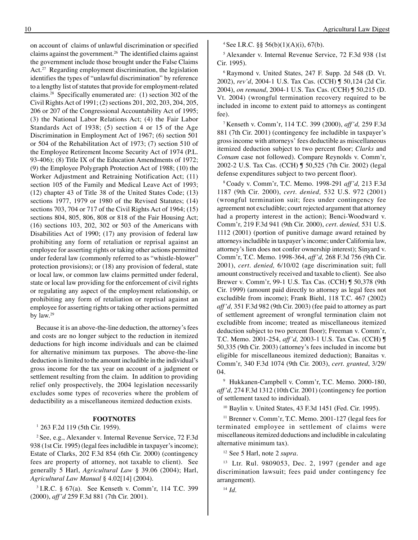on account of claims of unlawful discrimination or specified claims against the government.26 The identified claims against the government include those brought under the False Claims Act.<sup>27</sup> Regarding employment discrimination, the legislation identifies the types of "unlawful discrimination" by reference to a lengthy list of statutes that provide for employment-related claims.28 Specifically enumerated are: (1) section 302 of the Civil Rights Act of 1991; (2) sections 201, 202, 203, 204, 205, 206 or 207 of the Congressional Accountability Act of 1995; (3) the National Labor Relations Act; (4) the Fair Labor Standards Act of 1938; (5) section 4 or 15 of the Age Discrimination in Employment Act of 1967; (6) section 501 or 504 of the Rehabilitation Act of 1973; (7) section 510 of the Employee Retirement Income Security Act of 1974 (P.L. 93-406); (8) Title IX of the Education Amendments of 1972; (9) the Employee Polygraph Protection Act of 1988; (10) the Worker Adjustment and Retraining Notification Act; (11) section 105 of the Family and Medical Leave Act of 1993; (12) chapter 43 of Title 38 of the United States Code; (13) sections 1977, 1979 or 1980 of the Revised Statutes; (14) sections 703, 704 or 717 of the Civil Rights Act of 1964; (15) sections 804, 805, 806, 808 or 818 of the Fair Housing Act; (16) sections 103, 202, 302 or 503 of the Americans with Disabilities Act of 1990; (17) any provision of federal law prohibiting any form of retaliation or reprisal against an employee for asserting rights or taking other actions permitted under federal law (commonly referred to as "whistle-blower" protection provisions); or (18) any provision of federal, state or local law, or common law claims permitted under federal, state or local law providing for the enforcement of civil rights or regulating any aspect of the employment relationship, or prohibiting any form of retaliation or reprisal against an employee for asserting rights or taking other actions permitted by law. 29

Because it is an above-the-line deduction, the attorney's fees and costs are no longer subject to the reduction in itemized deductions for high income individuals and can be claimed for alternative minimum tax purposes. The above-the-line deduction is limited to the amount includible in the individual's gross income for the tax year on account of a judgment or settlement resulting from the claim. In addition to providing relief only prospectively, the 2004 legislation necessarily excludes some types of recoveries where the problem of deductibility as a miscellaneous itemized deduction exists.

#### **FOOTNOTES**

<sup>1</sup> 263 F.2d 119 (5th Cir. 1959).

2 See, e.g., Alexander v. Internal Revenue Service, 72 F.3d 938 (1st Cir. 1995) (legal fees includible in taxpayer's income); Estate of Clarks, 202 F.3d 854 (6th Cir. 2000) (contingency fees are property of attorney, not taxable to client). See generally 5 Harl, *Agricultural Law* § 39.06 (2004); Harl, *Agricultural Law Manual* § 4.02[14] (2004).

3 I.R.C. § 67(a). See Kenseth v. Comm'r, 114 T.C. 399 (2000), *aff'd* 259 F.3d 881 (7th Cir. 2001).

<sup>4</sup> See I.R.C. §§ 56(b)(1)(A)(i), 67(b).

5 Alexander v. Internal Revenue Service, 72 F.3d 938 (1st Cir. 1995).

6 Raymond v. United States, 247 F. Supp. 2d 548 (D. Vt. 2002), *rev'd*, 2004-1 U.S. Tax Cas. (CCH) ¶ 50,124 (2d Cir. 2004), *on remand*, 2004-1 U.S. Tax Cas. (CCH) ¶ 50,215 (D. Vt. 2004) (wrongful termination recovery required to be included in income to extent paid to attorneys as contingent fee).

7 Kenseth v. Comm'r, 114 T.C. 399 (2000), *aff'd,* 259 F.3d 881 (7th Cir. 2001) (contingency fee includible in taxpayer's gross income with attorneys' fees deductible as miscellaneous itemized deduction subject to two percent floor; *Clarks* and *Cotnam* case not followed). Compare Reynolds v. Comm'r, 2002-2 U.S. Tax Cas. (CCH) ¶ 50,525 (7th Cir. 2002) (legal defense expenditures subject to two percent floor).

8 Coady v. Comm'r, T.C. Memo. 1998-291 *aff'd,* 213 F.3d 1187 (9th Cir. 2000), *cert. denied,* 532 U.S. 972 (2001) (wrongful termination suit; fees under contingency fee agreement not excludible; court rejected argument that attorney had a property interest in the action); Benci-Woodward v. Comm'r, 219 F.3d 941 (9th Cir. 2000), *cert. denied,* 531 U.S. 1112 (2001) (portion of punitive damage award retained by attorneys includible in taxpayer's income; under California law, attorney's lien does not confer ownership interest); Sinyard v. Comm'r, T.C. Memo. 1998-364, *aff'd,* 268 F.3d 756 (9th Cir. 2001), *cert. denied,* 6/10/02 (age discrimination suit; full amount constructively received and taxable to client). See also Brewer v. Comm'r, 99-1 U.S. Tax Cas. (CCH) ¶ 50,378 (9th Cir. 1999) (amount paid directly to attorney as legal fees not excludible from income); Frank Biehl, 118 T.C. 467 (2002) *aff'd,* 351 F.3d 982 (9th Cir. 2003) (fee paid to attorney as part of settlement agreement of wrongful termination claim not excludible from income; treated as miscellaneous itemized deduction subject to two percent floor); Freeman v. Comm'r, T.C. Memo. 2001-254, *aff'd,* 2003-1 U.S. Tax Cas. (CCH) ¶ 50,335 (9th Cir. 2003) (attorney's fees included in income but eligible for miscellaneous itemized deduction); Banaitas v. Comm'r, 340 F.3d 1074 (9th Cir. 2003), *cert. granted*, 3/29/ 04.

9 Hukkanen-Campbell v. Comm'r, T.C. Memo. 2000-180, *aff'd,* 274 F.3d 1312 (10th Cir. 2001) (contingency fee portion of settlement taxed to individual).

10 Baylin v. United States, 43 F.3d 1451 (Fed. Cir. 1995).

<sup>11</sup> Brenner v. Comm'r, T.C. Memo. 2001-127 (legal fees for terminated employee in settlement of claims were miscellaneous itemized deductions and includible in calculating alternative minimum tax).

12 See 5 Harl, note 2 *supra*.

13 Ltr. Rul. 9809053, Dec. 2, 1997 (gender and age discrimination lawsuit; fees paid under contingency fee arrangement).

14 *Id*.